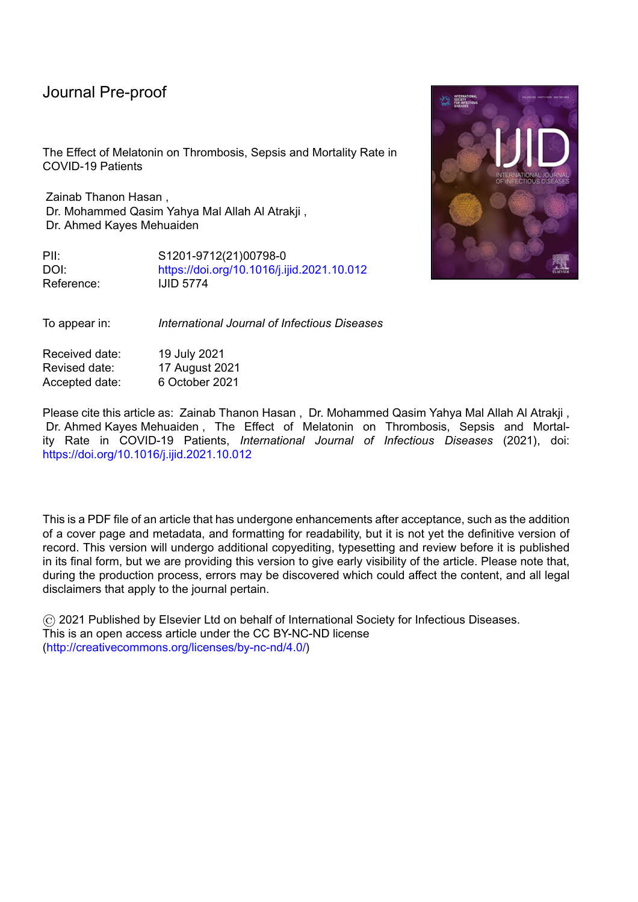# Journal Pre-proof

The Effect of Melatonin on Thrombosis, Sepsis and Mortality Rate in COVID-19 Patients

Zainab Thanon Hasan , Dr. Mohammed Qasim Yahya Mal Allah Al Atrakji , Dr. Ahmed Kayes Mehuaiden

PII: S1201-9712(21)00798-0 DOI: <https://doi.org/10.1016/j.ijid.2021.10.012> Reference: IJID 5774

To appear in: *International Journal of Infectious Diseases*

Received date: 19 July 2021 Revised date: 17 August 2021 Accepted date: 6 October 2021

Please cite this article as: Zainab Thanon Hasan , Dr. Mohammed Qasim Yahya Mal Allah Al Atrakji , Dr. Ahmed Kayes Mehuaiden , The Effect of Melatonin on Thrombosis, Sepsis and Mortality Rate in COVID-19 Patients, *International Journal of Infectious Diseases* (2021), doi: <https://doi.org/10.1016/j.ijid.2021.10.012>

This is a PDF file of an article that has undergone enhancements after acceptance, such as the addition of a cover page and metadata, and formatting for readability, but it is not yet the definitive version of record. This version will undergo additional copyediting, typesetting and review before it is published in its final form, but we are providing this version to give early visibility of the article. Please note that, during the production process, errors may be discovered which could affect the content, and all legal disclaimers that apply to the journal pertain.

© 2021 Published by Elsevier Ltd on behalf of International Society for Infectious Diseases. This is an open access article under the CC BY-NC-ND license [\(http://creativecommons.org/licenses/by-nc-nd/4.0/\)](http://creativecommons.org/licenses/by-nc-nd/4.0/)

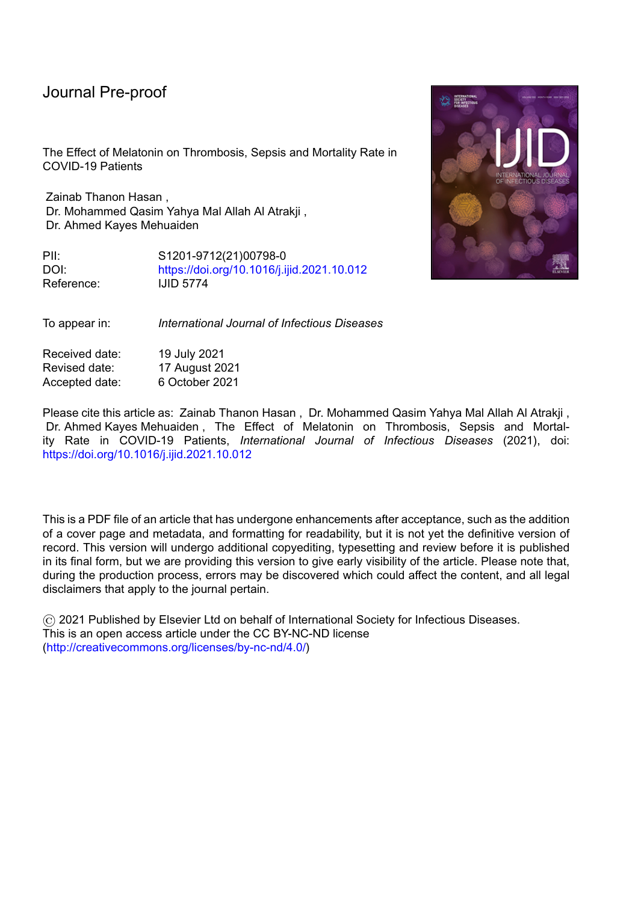## **Highlights** :

Melatonin may be beneficial in preventing complications in patients with COVID-19.

Melatonin can be used to reduce the mortality rate in patients with COVID-19.

Melatonin may be beneficial as an adjuvant therapy in patients with COVID-19.<br>
Alternative Covid-19.<br>
Alternative Covid-19.<br>
Alternative Covid-19.<br>
Alternative Covid-19.<br>
Alternative Covid-19.<br>
Alternative Covid-19.<br>
Alter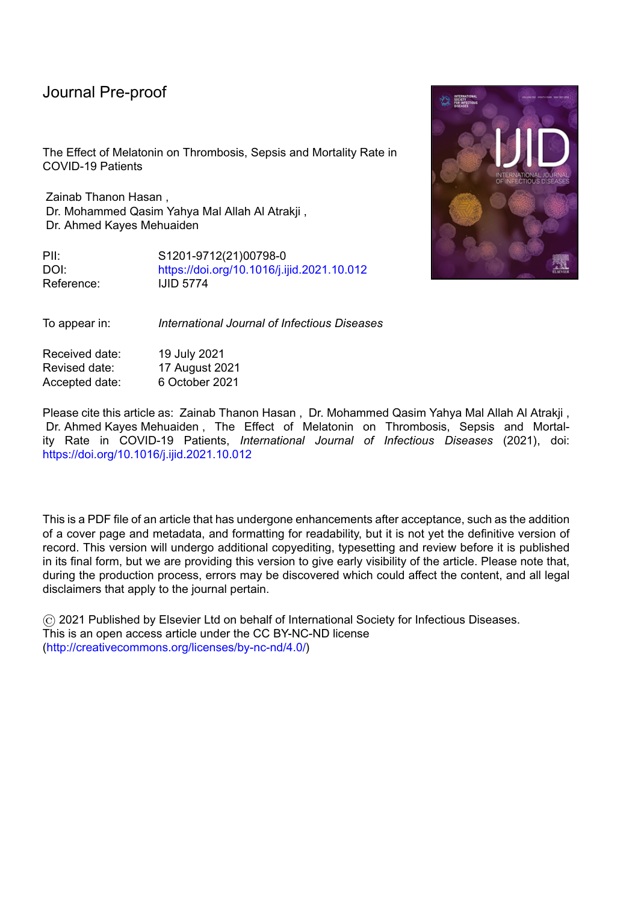# **The Effect of Melatonin on Thrombosis, Sepsis and Mortality Rate in COVID-19 Patients**

**Zainab Thanon Hasan <sup>1</sup> , Dr. Mohammed Qasim Yahya Mal Allah Al Atrakji <sup>2</sup> , Dr. Ahmed Kayes Mehuaiden<sup>3</sup> .**

**<sup>1</sup>**Clinical pharmacist / Al-Salam Teaching Hospital/ Mosul/ Iraq.

E-mail: zainabthanon@gmail.com

**<sup>2</sup>** MBChB/M.Sc./Ph.D. Pharmacology/ Department of Pharmacology

/ College of Medicine / Baghdad University/ Iraq.

E-mail: mohammedqasimatrakji@comed.uobaghdad.edu.iq

**<sup>3</sup>** MBChB./F.I.C.M.S.(clinical hematology) / Clinical hematologist /Ibn-Sina Teaching Hospital /Mosul/ Iraq

E-mail: ahmedkayes1984@gmail.com

### **Abstract:**

The purpose of this study is to determine the effect of melatonin on thrombosis, sepsis, and mortality rate in adult patients with severe coronavirus infection (COVID-19). **Methods:** This single-center, prospective, randomized clinical trial was conducted from 1 December 2020 to 1 June 2021 at Al-Shifaa hospital in Mosul, Iraq. There were 158 patients with severe COVID-19 included in the study, 82 in the melatonin group (who received 10 mg melatonin in addition to standard therapeutic care), and 76 in the control group (given standard therapeutic care only). Patients were chosen by blocked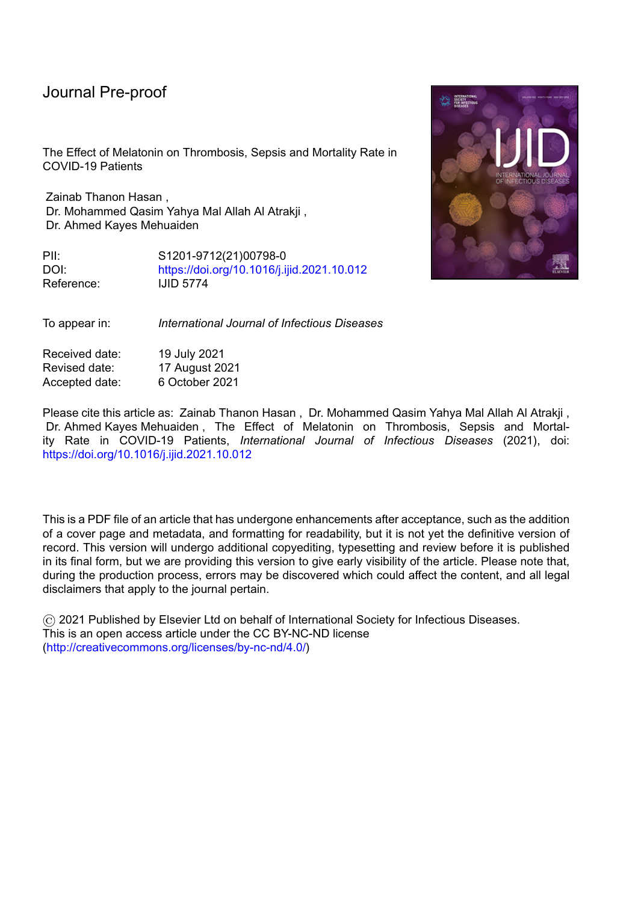#### Journal Pre-proo<sup>.</sup>

randomization design. The physician then evaluated and recorded the incidence of thrombosis, sepsis, and mortality rate on days 5, 11, and 17 of symptoms.

**Results**: The intervention group consisted of 82 patients, while the control group consisted of 76 patients. In comparison to the control group, thrombosis and sepsis developed significantly less frequently ( $P < 0.05$ ) in the melatonin group during the second week of infection, while mortality was significantly higher in the control group (P  $< 0.05$ ).

**Conclusions:** Adjuvant use of Melatonin may help reduce thrombosis, sepsis, and mortality in COVID-19 patients.

**Keywords**: COVID-19, Melatonin, Clinical trial.

### **Introduction**

Since December 31, 2019, when the People's Republic of China's health authorities notified the World Health Organization of several cases of pneumonia with an unknown etiology in the city of Wuhan, which called corona virus disease 2019 (COVID-19), the infection has spread throughout the world, with 170 million confirmed cases and more than 3.5 million deaths at the time of article writing (on June, 2020 ). (According to Worldmeter, July 2021).

Thrombotic complications are common in COVID-19 and are associated with a significant increase in mortality and morbidity. COVID-19 may enhance sepsis-induced hypercoagulability (Barnes BJ., et al. 2020).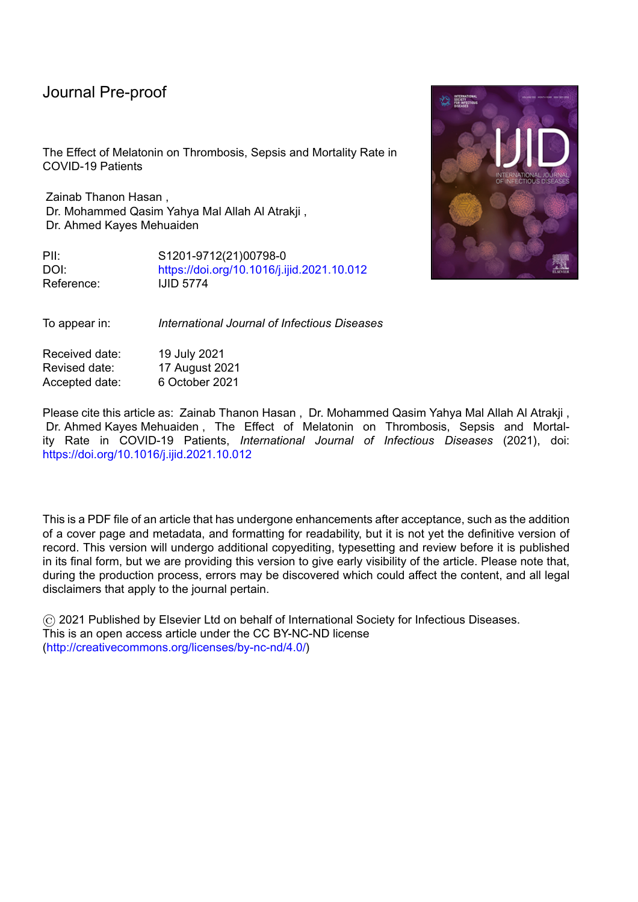#### Journal Pre-proof

While COVID-19 infection continues to spread globally and the need for urgent adjuvant treatment increases, clinical trials are underway to investigate the use of appropriate immunosuppressive and immunomodulatory agents, and also specific drugs to target individual pro-inflammatory cytokines (Soy, et al. 2020). There is a need for drugs that can potentially diminish some of the effects of the potentially deadly immune response.

Melatonin is a multifunctional molecule that has been shown to have antioxidant, anti-inflammatory, and immunomodulatory properties. Melatonin has been shown to be involved in the regulation of sleep and blood pressure, as well as in the improvement of viral respiratory disorders. As a result of these properties, recent publications have recommended melatonin for its potentially beneficial effects on clinical outcomes in patients with COVID-19. ( Huang C. et al. 2020; A.T. Slominski et al. 2018). However, there is a limited number of clinical and laboratory studies on the adjunctive use of melatonin in COVID-19 infection, one used melatonin 9 mg /day (Gholamreza, et al. 2020) and two ongoing registered trials ( Ali Ameri, et al. 2021; Miguel Rodriguez-Rubio, et al. 2021)

Thus, a randomized clinical trial was designed and conducted in this study to compare the efficacy of adding oral melatonin to standard treatment in hospitalized adult patients with severe COVID-19 infection.

#### **Method**

 The current study was a single-center, open-label, randomized clinical trial to determine the effect of melatonin on thrombosis, sepsis, and mortality in adults with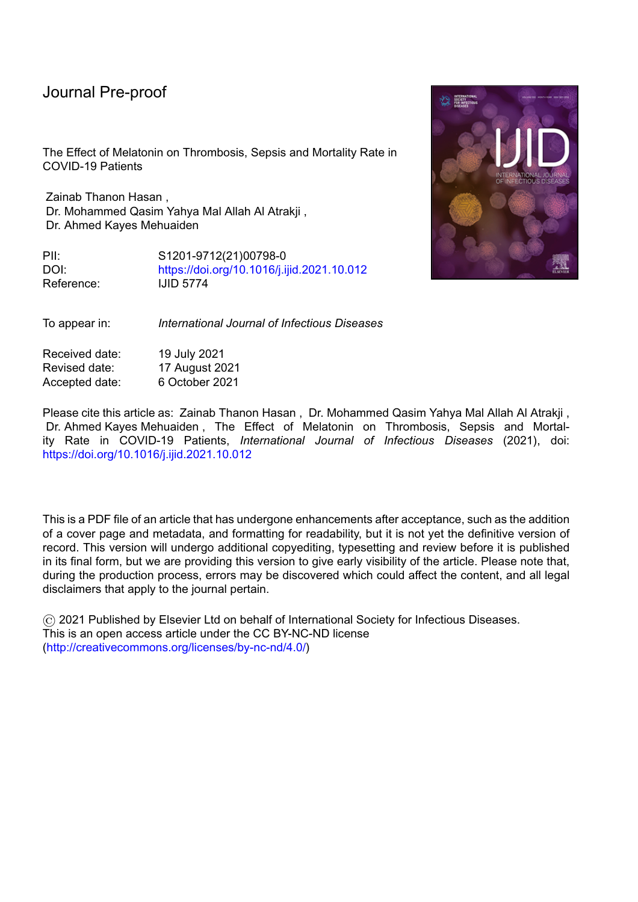COVID-19 admitted to Al-Shifaa Hospital in Mosul, Iraq from December 1, 2020 to June 1, 2021. The diagnosis of COVID-19 was confirmed using reverse transcriptasepolymerase chain reaction (RT-PCR), as well as findings consistent with COVID-19 pneumonia on computed tomography (CT) or chest radiography. Thompson's equation was used to determine the sample size (Steven K and Thompson, 2012). Patients who met the inclusion and exclusion criteria were eligible. Hospitalized patients with confirmed severe COVID-19 infection, the age greater than 18 years or less than 80 years were included in the study. The following criteria were used to exclude individuals: the age of patients less 18 or greater than 80 years, known melatonin allergy, pregnancy, lactating female, renal impairment, liver impairment, autoimmune disease, cancer, or terminal medical illness. The ethical committee of Baghdad university/college of medicine approved the study protocol (**approval number : 20201110872).**

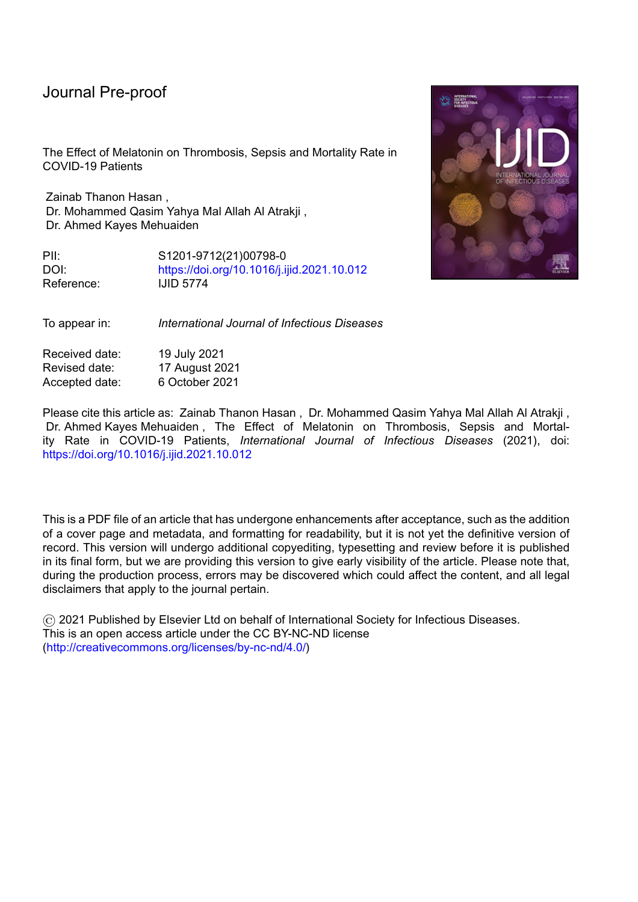

### **Figure 1: Flow diagram that illustrates the progress of patients through the trial.**

158 patients were enrolled in the current study. They were randomly assigned to intervention or control groups using a random block design. The two treatment groups were melatonin (A) and control (B), and the block size was  $2\times2=4$ . Within each block, the treatment allocation was as follows: (1) AABB, (2) BBAA, (3) ABAB, (4) BABA. (5) ABBA (6) BAAB.

**All** patients of the control group received standard therapy ((Oxygen therapy, Antiviral agents : Remdesevir (day one 200 mg intravenously infusion during 1 hour, then in day 2, 3, 4  $\&$  5 the patients given 100 mg intravenously infusion during 1 hour), Antibacterial agents : levofloxacin 500 mg intravenously per day was used empirically for secondary bacterial infections, Corticosteroid: (dexamethasone 24 mg intravenously per day ), Anticoagulant : enoxaparin 6000 unit once daily for prophylaxis and twice daily for therapeutic treatment of thrombosis ). whereas **All** the intervention group patients received standard therapy plus 10 mg melatonin (Natrol® ) once daily **20-30 minutes before bed time** for 14 days following diagnosis. The physician who cf okpkuvgtgf" ogncvqpkp" y cu" cnuq" tgurqpukdng" hqt" vtgcv ogpv" cpf" cuuguu ogpv" qh" r cvkgpvu "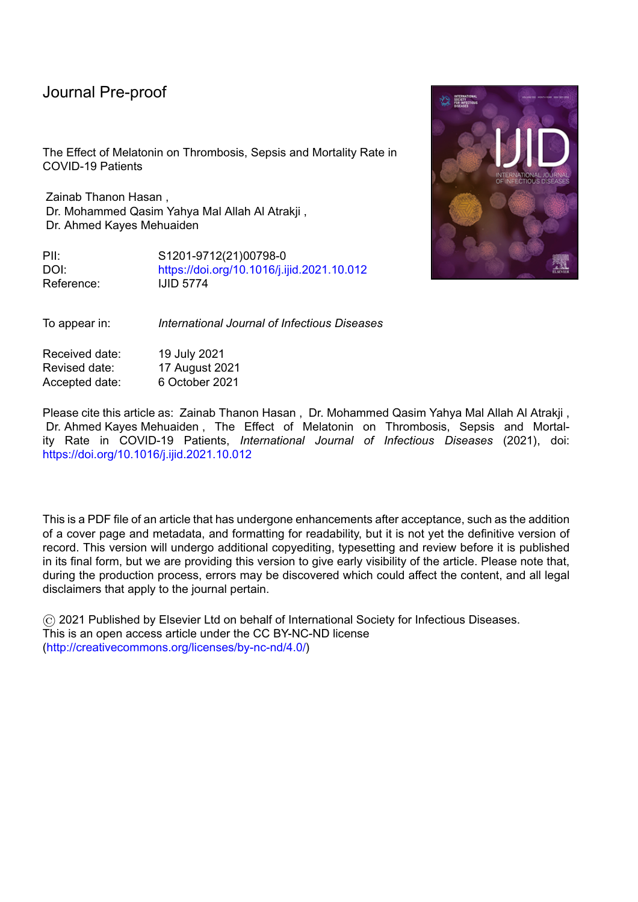#### Journal Pre-proot

condition. Thrombosis was diagnosed clinically and laboratory as Pulmonary Embolism, Deep Venous Thrombosis (DVT), and Ischemic stroke: imaging studies (computed tomography or magnetic resonance imaging of the brain), doppler ultrasound for DVT, CT angiography, and D-dimer were ordered in accordance with the clinical presentation, and sepsis was diagnosed on days 5, 11, and 17 of symptoms by a physician. All data collected were entered into a computer database.

#### **Statistical analysis**

SPSS software was used to conduct statistical analyses (version 20.0; IBM). The categorical variables (age, gender, and comorbidities such as hypertension, ischemic heart disease, diabetes mellitus, and asthma) were expressed as counts and percentages of patients in the melatonin and control groups, respectively. The Chi-uswctg" 4"cpf"Hkujgt" exact tests were used to compare these variables. The Kolmogorov-Smirnov (KS) test was used to determine the normality of the data. Non-parametric statistical methods were employed for not normally distributed continuous variables , Mann-Whitney U test was used in variable differences between the two groups. The Chi-uswctg" 4"cpf"Hkujgt"gzcev" tests are used to compare categorical variables between the two groups (thrombosis, sepsis, and death). All analyses were conducted on a two-sided basis, with a  $(R''\ddot{\mathrm{0}}''2027)$ considered statistically significant.

#### **Results**

In both groups, the baseline demographic and clinical characteristics of the patients are shown in (Table 1). Males made up 72.2 percent of the patients in the current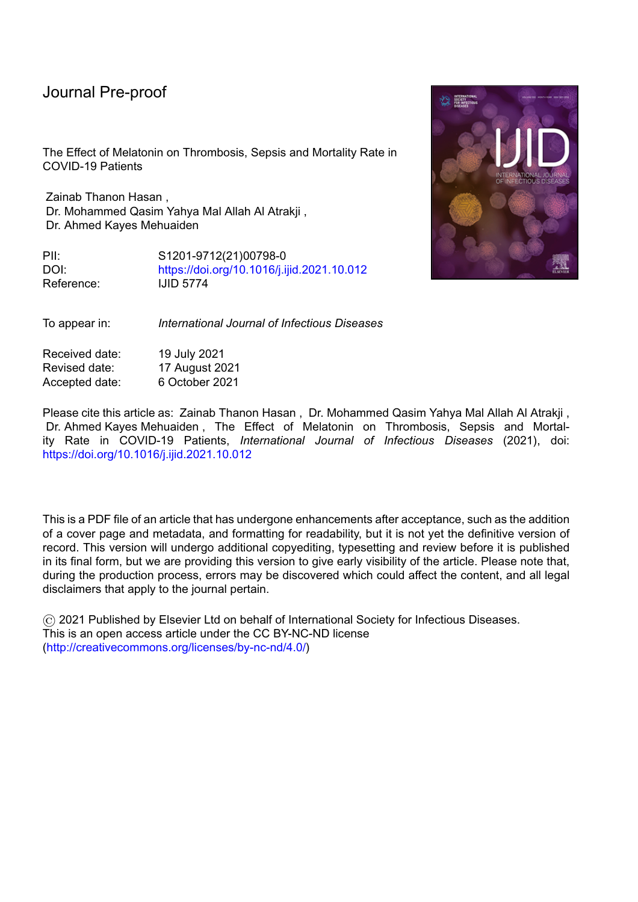#### Journal Pre-proo<sup>.</sup>

study, while females made up 27.8 percent, and there was no significant difference in gender between the two groups ( $P > 0.05$ ).

The study population was  $56.3 \pm 7.3$  years old (mean  $\pm SD$ ), with a range of 32 to 78 years, and there was no significant difference in age between the two groups (P > 0.05).

Other comorbidities were present in 70.3 percent of patients, and there was no significant difference between the two groups in relations of hypertension, ischemic heart disease, asthma, and diabetes mellitus ( $P > 0.05$ ). (See Table 1)

### **Effect of melatonin on developing thrombosis in COVID-19 patients:**

Fisher exact test revealed no significant difference between the two groups at the baseline (day 5 of symptoms) ( $P = 1.000$ ). Additionally, no significant difference in developing thrombosis was observed between the two groups on day 11 ( $P = 1.000$ ). While developing thrombosis was significantly greater in the control group than in the melatonin group on day  $17$  (P < 0.05), (See Table 2).

A binary logistic regression model was used in which a melatonin used, age , gender, hypertension, ischemic heart disease, diabetes mellitus and asthma were considered as explanatory variable and thrombosis as dependent variable. Considering  $\forall$ ig"Gzr"\* +."cp"qffu"tcvkq"gswcn"vq"3"ujqyu"pq"ghhgev"="cp"qffu"tcvkq"itgcvgt"vjcp"3"ujqyu" the variable increase the odds of outcome target level; and an odds ratio less than 1 indicates the variable in question decrease the odds of the outcome target level .( Garson, D.G. 2013)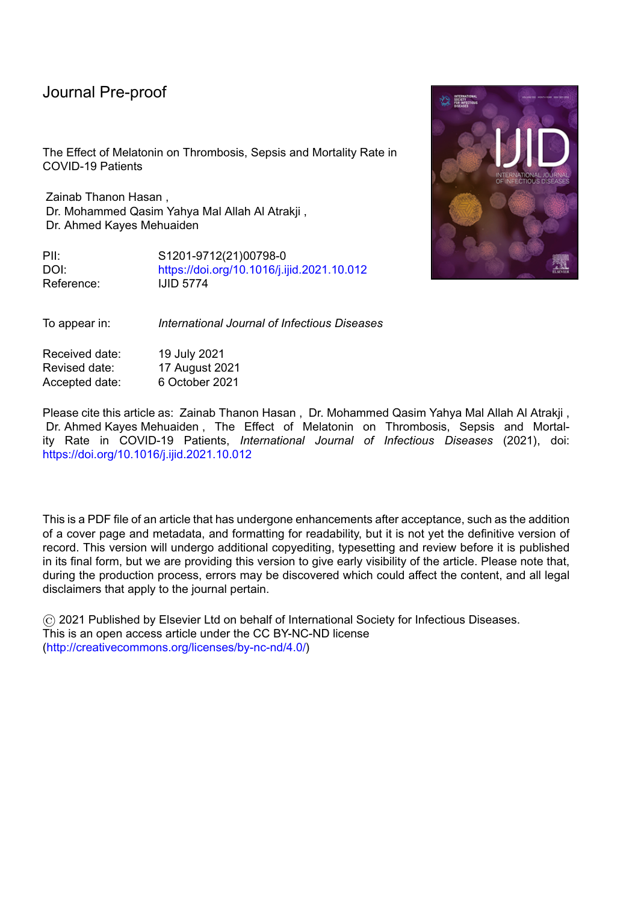#### Journal proo<sup>-</sup>

From the odds ratio evaluation, the probability of developing thrombosis in patients used melatonin (in melatonin group) was 0.309 times less likely compared to patients not used melatonin (in control group) as in (see Table 3).

#### **Effect of melatonin on developing sepsis in COVID-19 patients:**

No patients developed sepsis during the baseline period (day 5 of symptoms) ( no difference between the two groups). On day 11, two patients (2.4 percent) in the melatonin group developed sepsis, compared to eight patients (10.5 percent) in the control group. Chi square analysis revealed a significant difference between the two groups ( $P = 0.050$ ). On day 17, sepsis developed significantly more frequently in patients in the control group (35.5 percent) than in patients in the melatonin group (8.5 percent) (P  $= 0.000$ ) (See table 4).

From the odds ratio evaluation in the binary logistic regression analysis, the probability of developing sepsis in patients used melatonin (in melatonin group) was 0.071 times less likely compared to patients not used melatonin (in control group) as in (Table 5).

### **Effect of melatonin on mortality rate in COVID-19 patients**

 $\text{Ceeqt fkpi"vq"vj g"Ejk"us wctg"vgu" * " 4"+. "vj g" o qtvckv{ "tcvg" y cu"uki pkthkecpvn{'" jki jgt" }$ in the control group (17.1%) than in the melatonin group (1.2%),  $df = 1$ , (P = 0.001). (See table 6 ).

### **Discussion:**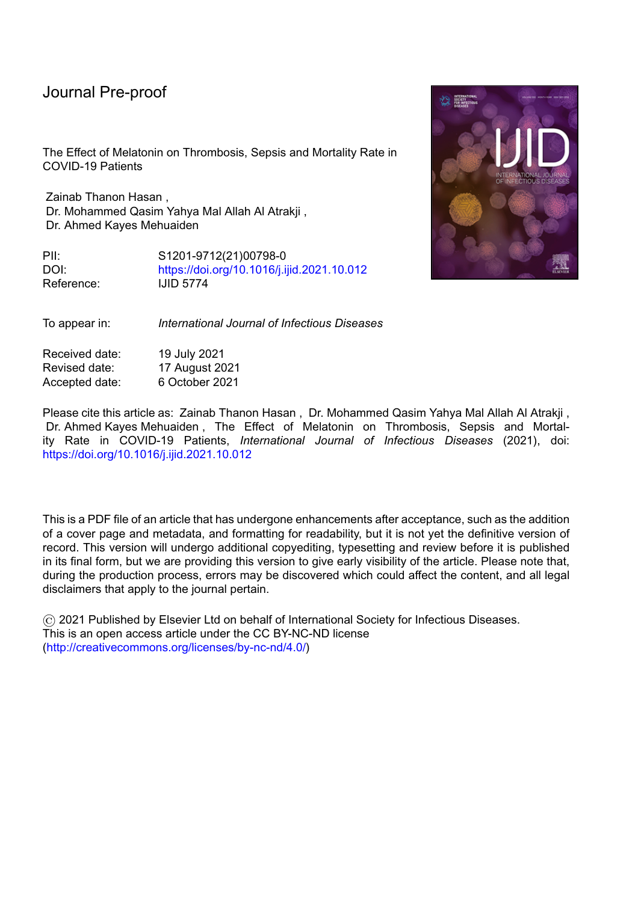#### Journal Pre-proot

Worldwide, the COVID-19 pandemic has infected and killed millions of people. These large numbers necessitate a rapid development of clinical trials evaluating therapies capable of lowering the alarmingly high death rate. As a result, a large number of drugs have been studied in COVID-19 patients. Melatonin's efficacy as an adjunctive therapy has been demonstrated in a variety of diseases (Biancatelli RMLC, et al. 2020; Zhang R, et al. 2020). There are, however, few trials evaluating the use of melatonin in patients with COVID-19 (Gholamreza, et al. 2020; Ali Ameri, et al. 2021; Miguel Rodriguez-Rubio, et al. 2021), while our study is randomized trial evaluating the efficacy and safety of 10 mg oral melatonin as an adjunctive therapy in patients hospitalized with severe COVID-19. It has been well found that melatonin administration could alleviate viral infection-induced oxidative stress as well as increasing the antioxidant activity (Habtemariam S, et al. 2017). In the current study three clinical complications (Thrombosis, sepsis & mortality rate) were evaluated.

## **Effect of Melatonin on Thrombosis in COVID-19 Patients:**

Coronaviruses have been shown to enter cells via angiotensin-converting enzyme 2 (ACE-2) receptors, which are predominantly found on the alveolar epithelium and endothelium. Endothelial cell activation is thought to be the primary cause of thrombosis. Inclusion bodies from viruses have been identified in endothelial cells from a variety of organs, including the lung and gastrointestinal tract (Varga Z, et al. 2020). Rapid viral replication results in the release of large amounts of inflammatory mediators. One theory proposed that neutrophil extracellular traps (NETs) could be the source of hypercoagulation in severe COVID-19 patients. High NET levels in the blood are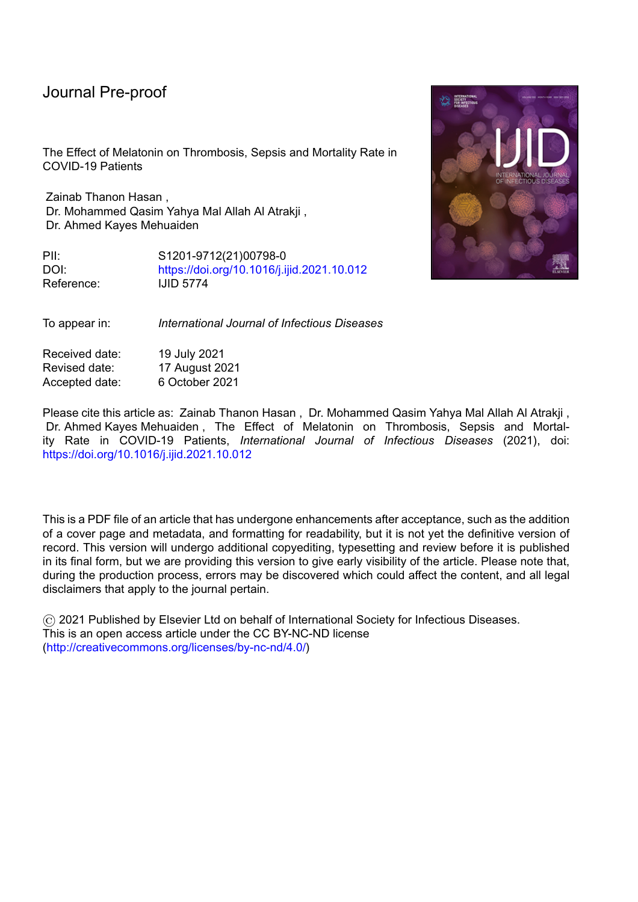#### Journal Pre-proo

associated with elevated thrombin levels, which are predictive of adverse cardiac events that can result in major organ damage (Barnes BJ. Et al. 2020). In severe cases of COVID-19, a retrospective analysis of 452 patients revealed a significant increase in neutrophil counts (Qin C, et al. 2020). NETs have the ability to alter endothelial barrier structures, resulting in an increase in vascular endothelial permeability and a decrease in anti-thrombotic and anti-inflammatory properties (Ma Y, et al. 2019; Hernández-Reséndiz S, et al. 2018). Local injection of melatonin (140 pg) into endothelial cells effectively reduced endothelial cell vascular permeability induced by leukotriene B4 activated neutrophils, as demonstrated in an in vivo rodent experiment. Melatonin's inhibition of endothelial cell hyper-adhesiveness likely mediated the decrease in vascular permeability (Lotufo CM, et al. 2006). In 46 healthy young men, oral melatonin (3 mg) administration resulted in an inverse relationship between procoagulant measures, with increased plasma melatonin predicting lower FVIII:  $C (P = 0.037)$  and fibrinogen (P = 0.022) levels (Wirtz PH, et al. 2008).

The increased D-dimer level is one of the most consistent findings. Although numerous inflammatory processes can affect D-dimer levels, they almost certainly reflect intravascular thrombosis to some extent in patients with COVID-19 (Leonard-Lorant I, et al. 2020 ; Cui S, et al. 2020). An elevated D-dimer level (>1000 ng/mL) at admission was associated with an increased risk of in-hospital death in the early studies emerging from China (Zhou F, et al. 2020). The true prevalence of COVID-19-associated thrombosis is unknown, as the majority of studies to date have lacked systematic and comprehensive investigation protocols. As a result, individuals infected with COVID-19 faced a risk of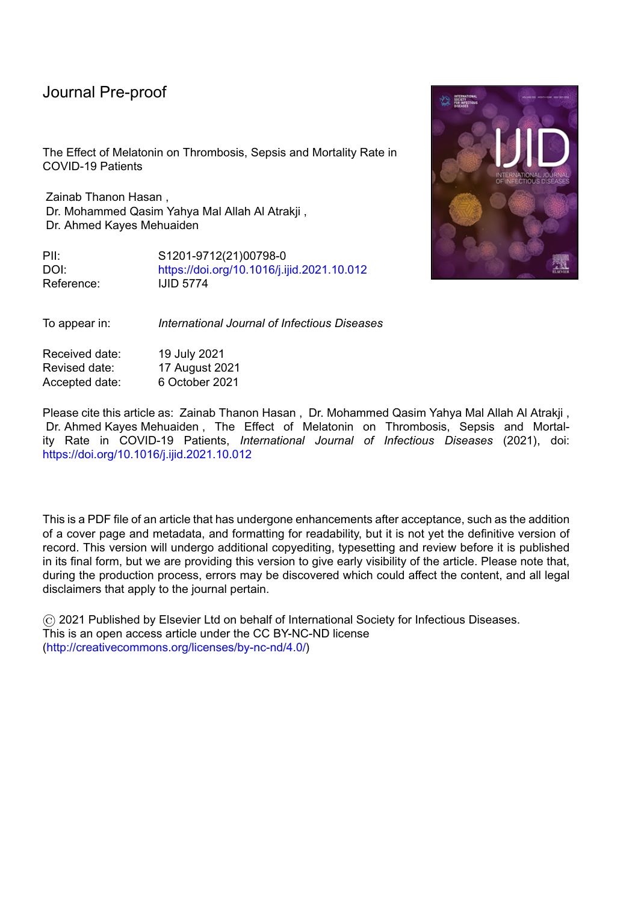#### Journal

venous thromboembolism (VTE) of up to 25%. (Bikdeli B, et al. 2020 ; Chen G, et al 2020).

At day 17 of symptoms, 23.7 % of patients in the control group developed thrombosis, compared to 11% in the melatonin group ( $P < 0.05$ ). The aforementioned data are consistent with this study, which established a significant effect of melatonin use on thrombosis.

## **Effect of Melatonin on Sepsis in COVID-19 Patients:**

Sepsis is defined as organ dysfunction that is potentially fatal as a result of an abnormal host response to infection (Singer M, et al. 2016). Sepsis may be caused by a number of different pathogens. Sepsis is primarily caused by bacterial infection. However, up to 42% of sepsis patients had negative cultures, implying a nonbacterial cause (Phua J, et . 2013). Although almost any virus can cause sepsis in susceptible patients, viral sepsis is a very rare clinical diagnosis. Increased awareness, early detection of viral sepsis, rapid administration of appropriate antiviral medications, and prompt treatment can significantly reduce viral sepsis-related deaths (Reinhart Konrad, et al. 2017). With time, a significant difference in the development of sepsis was observed between the melatonin and control groups (at day 17 of symptoms, 35.5 percent of patients in the control group develop sepsis versus 8.5 percent in the melatonin group) (P < 0.001). Although no study has been conducted on the effects of melatonin on sepsis in COVID-19 patients, a recent clinical trial found that intravenous administration of 60 mg/d of a melatonin formulation improved septic patients, decreased their mortality to zero, and decreased their hospital stay by 40%. ( Dario A. et al. 2020). Another trial used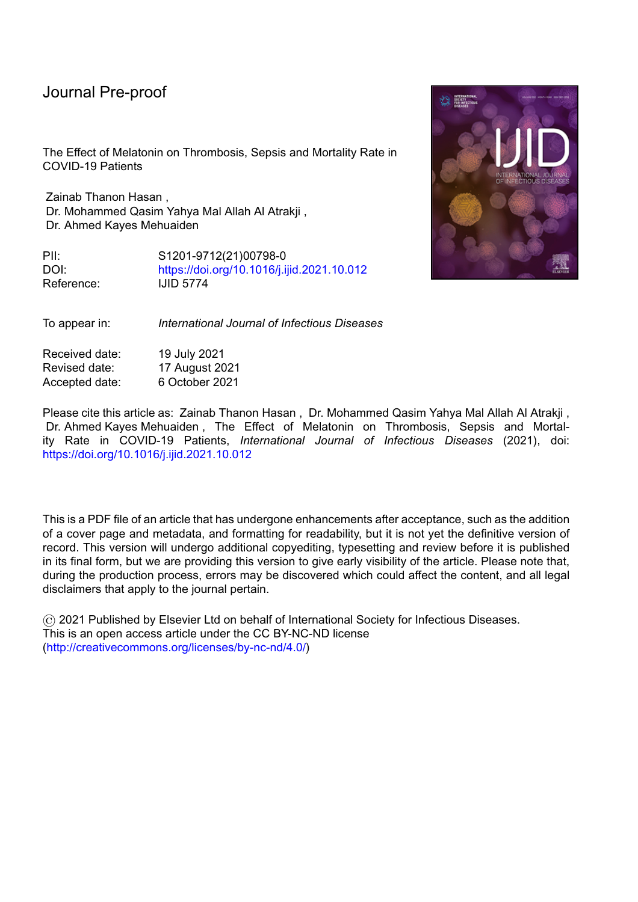9 mg of melatonin per day in COVID-19 patients showed significant reduction of hospital stay duration ( $p < 0.05$ ) and improved clinical symptoms as well as the level of CRP and the pulmonary involvement in the melatonin group  $(P < 0.05)$  (Gholamreza, et al. 2020). This trial tested the effect of melatonin tablet 10 mg as it is the available dosage form in our country and to assure good compliance.

#### **Effect of Melatonin on Mortality rate in COVID 19 Patients:**

As previously demonstrated, thrombosis and sepsis associated with higher mortality rate & were improve by melatonin administration. As a result, it is entirely reasonable that melatonin resulted in a lower mortality rate in COVID-19 patients. This implied effect of melatonin was quantified directly in this study, which found that 17.1% of in-hospital patients in the control group died compared to 1.2 percent of patients in the melatonin group (P< 0.001).

The limitations of this trial were the open labeled and single-centered which could restrict the generalizability of the results.

#### **Conclusion**

The results of this study demonstrated that oral melatonin, when added to standard of care, was more effective than standard of care alone in patients hospitalized with severe COVID-19. Improved thrombosis, sepsis, and mortality rates support the adjuvant melatonin's efficacy in mitigating this infectious disease. Given melatonin's superior performance as a cheap, highly safe, and readily available medication, it is strongly recommended to be addressed in future studies.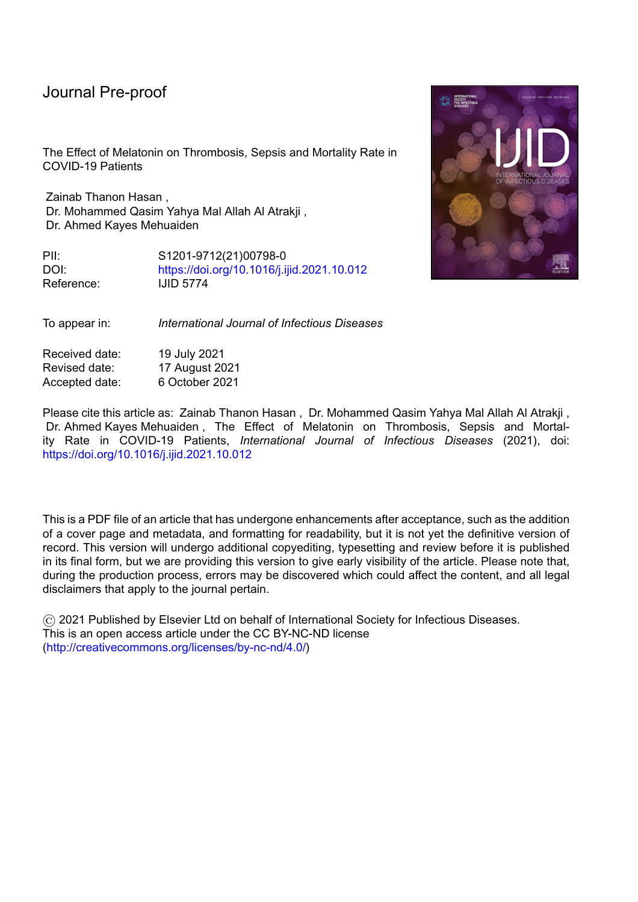#### Journal Pre-proof

### **Acknowledgement**

I would like to express my deep thanks to assistant professor Dr. Mohammed Qasim Yahya for his great and unlimited support and a special thanks to Dr. Ahmed Kayes Mehuaiden for his contribution.

#### **Conflict of interest**

The authors declare that they have no known competing financial interests or personal relationships that could have appeared to influence the work reported in this paper.

### **Funding**

This research did not receive any specific grant from funding agencies in the public, commercial, or not-for-profit sectors.

#### **Ethical approval**

The patients provided informed consent to provide specimen and clinical data, and the study received approval by the ethical committee of Baghdad University /college of medicine.

#### **References**

Ali Ameri, Masoomeh Frouz, Manoochehr, et al. *Evaluation of the effect of melatonin in patients with COVID-19-induced pneumonia admitted to the Intensive Care Unit: A structured summary of a study protocol for a randomized*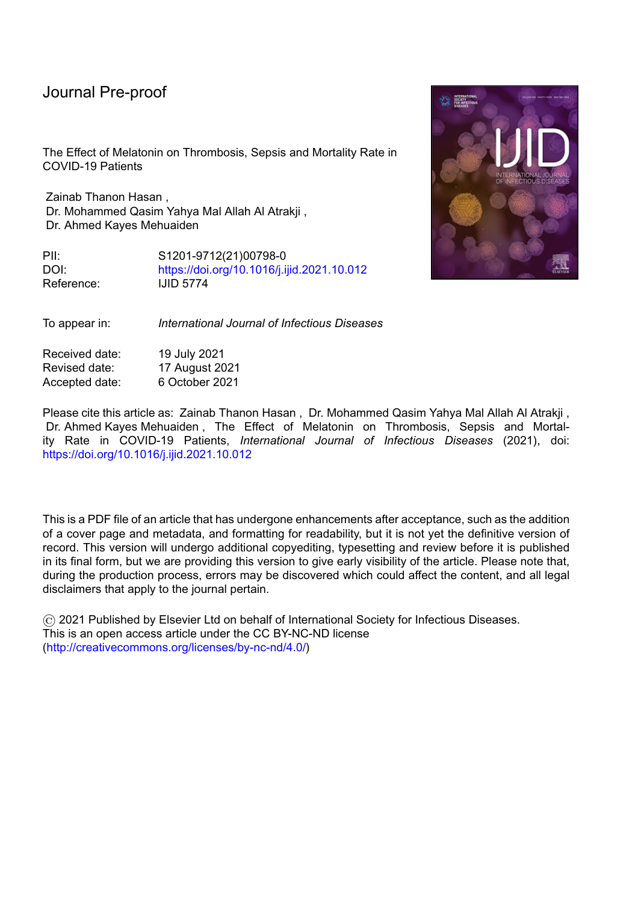#### nroo

*controlled trial.* Iranian registry of clinical trial . (2021) the registration number (IRCT20200506047323N7). available at https://doi. org/10.1186/s13063-021- 05162-3.

Barnes BJ, Adrover JM, Baxter-Stoltzfus A, et al. *Targeting potential drivers of COVID-19: Neutrophil extracellular traps*. J. Exp. Med. (2020) 217 (6).

Biancatelli RMLC, Berrill M, Mohammed YH and Marik PE. *Melatonin for the treatment of sepsis: The scientific rationale.* J Thorac Dis. (2020) 12(Suppl 1): 546S65.

Bikdeli B, Madhavan MV, Jimenez D, et al. *COVID-19 and thrombotic or thromboembolic disease: implications for prevention, antithrombotic therapy, and follow-up.* J Am Coll Cardiol . (2020) 75: 295062973.

Chen G, Wu D, Guo W, et al. *Clinical and immunological features of severe and moderate coronavirus disease 2019.* J Clin Invest (2020); 130: 262062629

Cui S, Chen S, Li X, et al. *Prevalence of venous thromboembolism in patients with severe novel coronavirus pneumonia*. J Thromb Haemost (2020) 18: 14216 1424.

Dario A. Germaine E., Juan C. et al. *Clinical trial to test the efficacy of melatonin in COVID-19.* J Pineal Res. (2020) 20: 83.

Garson, D.G. *Logistic Regression: Binary &Multinominal; Statistical Associates Publishers: Asheboro, NC, USA, (2013)1652.* 

Gholamreza , Mostafa , Taleb, et al. *Efficacy of a Low Dose of Melatonin as an Adjunctive Therapy in Hospitalized Patients with COVID-19:* A Randomized, Double-blind Clinical Trial. (2020) Clinical Trials.gov Identifier: NCT0440952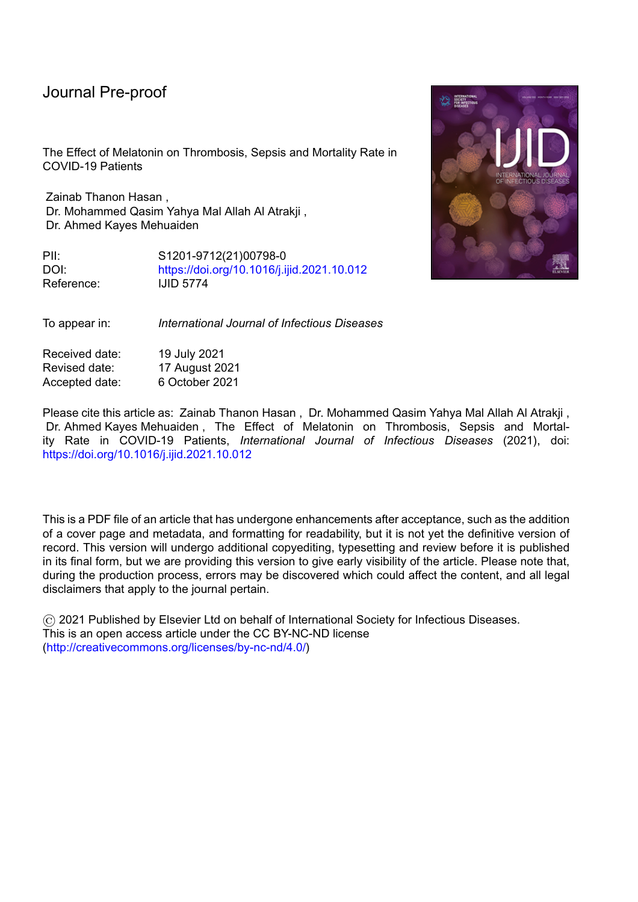Habtemariam S, Daglia M, Sureda A, Selamoglu Z, Fuat Gulhan M, Mohammad Nabavi S. *Melatonin and respiratory diseases*: a review. Curr Top Med Chem. (2017) 17:467-488.

Hernández-Reséndiz S, Muñoz-Vega M, Contreras WE, et al. *Responses of endothelial cells towards ischemic conditioning following acute myocardial infarction*. Cond Med. (2018) 1(5):2476258.

Huang, C.; Wang, Y.; Li, X.; Ren, L.; Zhao, J.; Hu, Y.; Zhang, L.; Fan, G.; Xu, J.; Gu, X.; et al. *Clinical features of patients infected with 2019 novel coronavirus in Wuhan, China. Lancet (2020) 95, 4976506.* 

Leonard-Lorant I, Delabranche X, Severac F, et al. *Acute pulmonary embolism in COVID-19 patients on CT angiography and relationship to D-dimer levels*. Radiology (2020) 296 (3).

Lotufo CM, Yamashita CE, Farsky SH, et al. *Melatonin effect on endothelial cells reduces vascular permeability increase induced by leukotriene B4. Eur. J. Pharmacol.* (2006) 534 534 (1-3): 2586263.

Ma Y, Yang X, Chatterjee V, et al. *Role of neutrophil extracellular traps and vesicles in regulating vascular endothelial permeability.* Front Immunol. (2019) 10: 1037 .

Miguel Rodríguez-Rubio, Juan Carlos Figueira, et al. *A phase II, single-center, double-blind, randomized placebo-controlled trial to explore the efficacy and safety of intravenous melatonin in patients with COVID-19 admitted to the intensive care unit (MelCOVID study): a structured summary of a study protocol for a randomized controlled trial*. EU Clinical Trials Register. Date of trial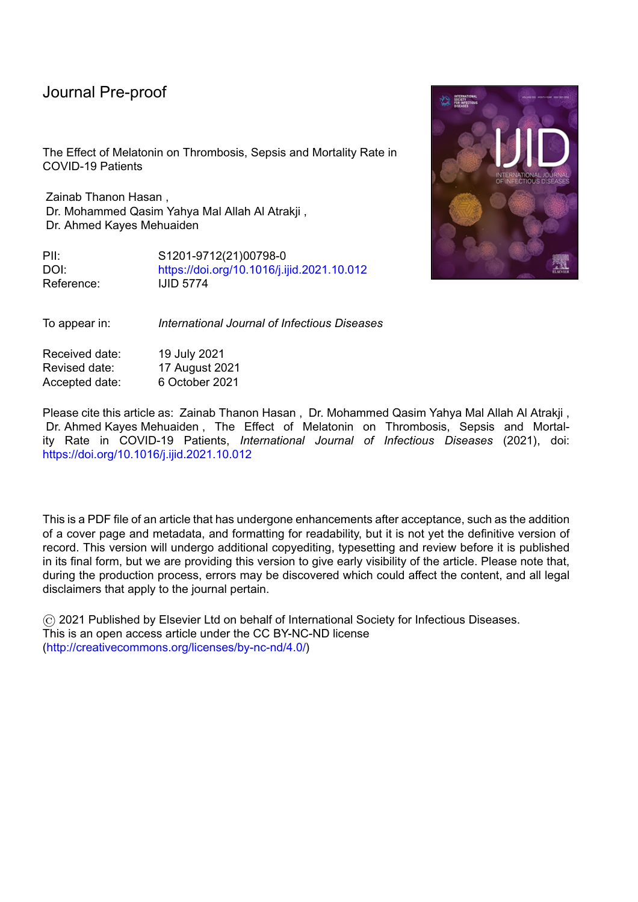#### Journal Pre-proo<sup>.</sup>

registration: 10 July 2020. URL: https://www.clinicaltrialsregister.eu/ctrsearch/trial/2020-001808-42/ES.

Phua J, Ngerng W, See K, et al. *Characteristics and outcomes of culture-negative versus culture-positive severe sepsis*. Crit Care. (2013) 17:202.

Qin C, Zhou L, Hu Z, et al. *Dysregulation of immune response in patients with COVID*-*19 in Wuhan, China*. Clin Infect. (2020) 10.248.

Reinhart Konrad, Daniels Ron, Kissoon Niranjan, Machado Flavia R, Schachter Raymond D, Finfer Simon. *Recognizing Sepsis as a Global Health Priority - A WHO Resolution.* N Engl J Med. (2017) 377:41467.

Singer M, Deutschman CS, Seymour CW, et al. *The Third International Consensus definitions for sepsis and septic shock (Sepsis-3).* JAMA. (2016) 315:801610.

Slominski, A.T.; Hardeland, R.; Zmijewski, M.A.; Slominski, R.M.; Reiter, R.J.; Paus, R. *Melatonin: A cutaneous perspective on its production, metabolism, and functions.* J. Invest. Dermatol. (2018) 138, 4906499.

Soy, M., Keser, G., Atagündüz, P., Tabak, F., Atagündüz, I., and Kayhan, S. Cytokine storm in COVID-19: pathogenesis and overview of anti-inflammatory agents used in treatment. *Clin. Rheumatol.* (2020) 39, 208562094. doi:10.1007/s10067-020-05190-5

Steven K . Thompson. *Sampling,* (2012). 3: 59-60.

Varga Z, Flammer AJ, Steiger P, et al. *Endothelial cell infection and endotheliitis in COVID-19.* Lancet (2020) 395: 141761418.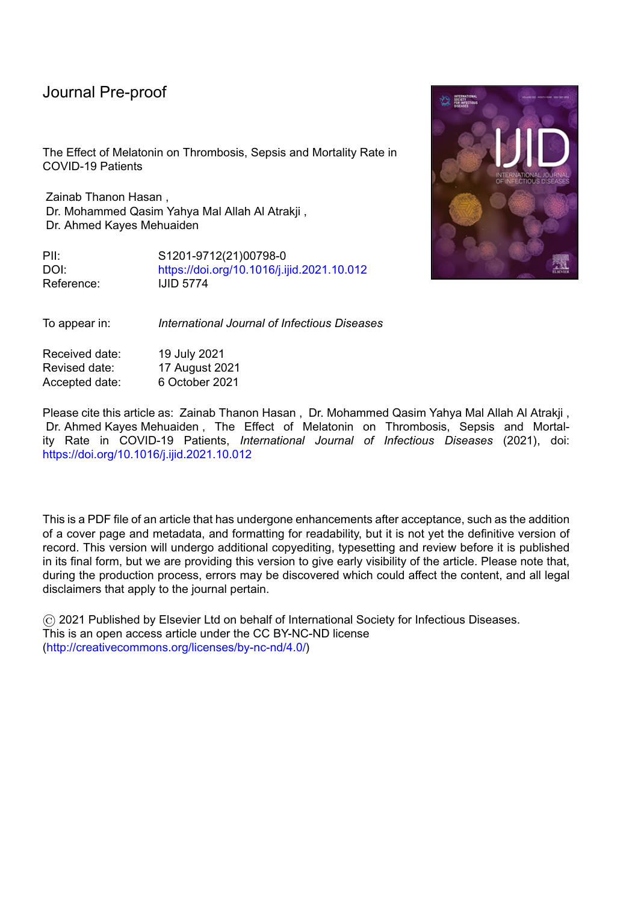#### Journal Pre-proot

Outric

Wirtz PH, Spillmann M, Bärtschi C, et al. *Oral melatonin reduces blood coagulation activity:* a placebo-controlled study in healthy young men. J. Pineal Res. (2008) 44 (2): 1276133.

Worldometer. *COVID-19 Coronavirus Pandemic*. Available at :https://www.worldometers.info/coronavirus/. Accessed 1 June 2021.

Wu R, Wang L, Kuo H-CD, et al. *An update on current therapeutic drugs treating COVID-19.* Curr Pharmacol Reports. (2020) 6:56-70.

Zhang R, Wang X, Ni L, et al. *COVID-19: Melatonin as a potential adjuvant treatment.* Life Sci. (2020) 117583.

Zhou F, Yu T, Du R, Fan G, Liu Y, Liu Z, Xiang J, Wang Y, Song B, Gu X, et al. *Clinical course and risk factors for mortality of adult inpatients with COVID-19 in Wuhan, China:* a retrospective cohort study. Lancet. (2020) 395(10229):1054- 62.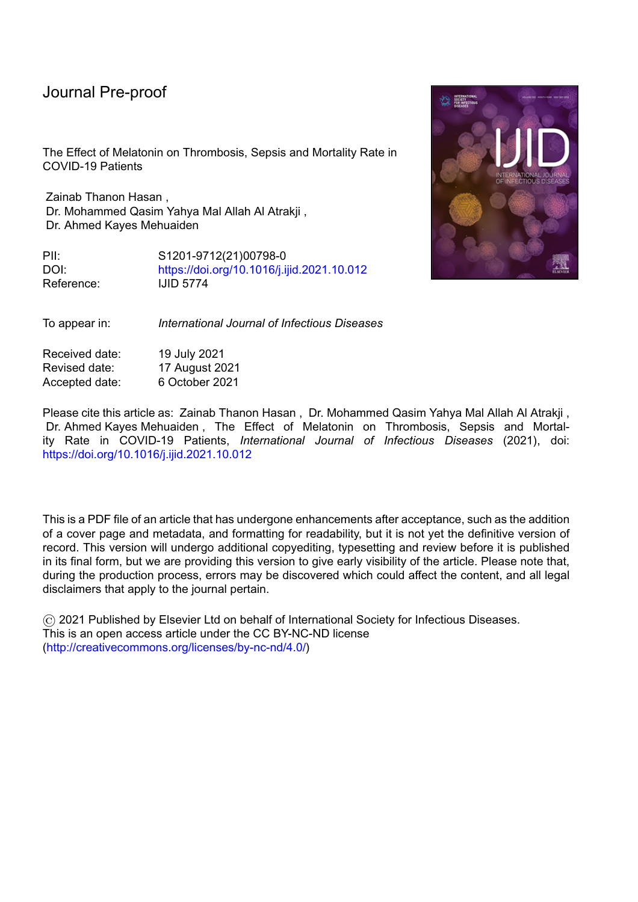| group and control group                                                                                                                                |                |                |              |                                   |                      |  |  |  |
|--------------------------------------------------------------------------------------------------------------------------------------------------------|----------------|----------------|--------------|-----------------------------------|----------------------|--|--|--|
| <b>Patient characteristics</b>                                                                                                                         | All patients   | Control group  |              | Melatonin<br>df<br>group $(n=82)$ |                      |  |  |  |
|                                                                                                                                                        | $(n = 158)$    | $(n=76)$       |              |                                   |                      |  |  |  |
| Age (mean $\pm$ SD)                                                                                                                                    | $56.3 \pm 7.7$ | $55.7 \pm 8.0$ | $56.8 + 7.5$ |                                   | $0.393$ <sup>a</sup> |  |  |  |
| <b>Gender</b>                                                                                                                                          |                |                |              |                                   |                      |  |  |  |
| Male no. $(\% )$                                                                                                                                       | 114(72.2%)     | 56(73.7%)      | 58(70.7%)    | $\mathbf{1}$                      | $0.725^{\circ}$      |  |  |  |
| Female no. $(\% )$                                                                                                                                     | 44(27.8%)      | 20(26.3%)      | 24(29.3%)    |                                   |                      |  |  |  |
| <b>Other comorbidities</b>                                                                                                                             |                |                |              |                                   |                      |  |  |  |
| <b>Hypertension</b>                                                                                                                                    | 84 (53.2%)     | 34(44.7%)      | $50(61.0\%)$ | $\mathbf{1}$                      | $0.055^{\circ}$      |  |  |  |
| <b>Ischemic heart disease</b>                                                                                                                          | $25(15.8\%)$   | 10(13.2%)      | $15(18.3\%)$ |                                   | $0.394^\circ$        |  |  |  |
| <b>Diabetes mellitus</b>                                                                                                                               | 47(29.7%)      | 22(28.9%)      | 25(30.5%)    |                                   | $0.863^\circ$        |  |  |  |
| Asthma                                                                                                                                                 | $16(10.1\%)$   | 11(14.5%)      | $5(6.1\%)$   |                                   | $0.113^\circ$        |  |  |  |
| df= degree of freedom, SD= standard deviation, $n=$ number of patient, $\%$ = percentage of                                                            |                |                |              |                                   |                      |  |  |  |
| notionts in each group $\degree$ - no significant difference ( $\mathbf{D} \times \mathbf{0}$ $\mathbf{0.5}$ ) using Chi-square test $\mathbf{a}$ - no |                |                |              |                                   |                      |  |  |  |

### **Table 1: Demographic and Clinical Characteristics of COVID 19 patients in melatonin group and control group**

**patients in each group,**  $\degree$  **= no significant difference (P > 0.05) using Chi-square test,**  $\degree$ **= no significant difference (P > 0.05) using Mann-Whitney U test**

Journal

19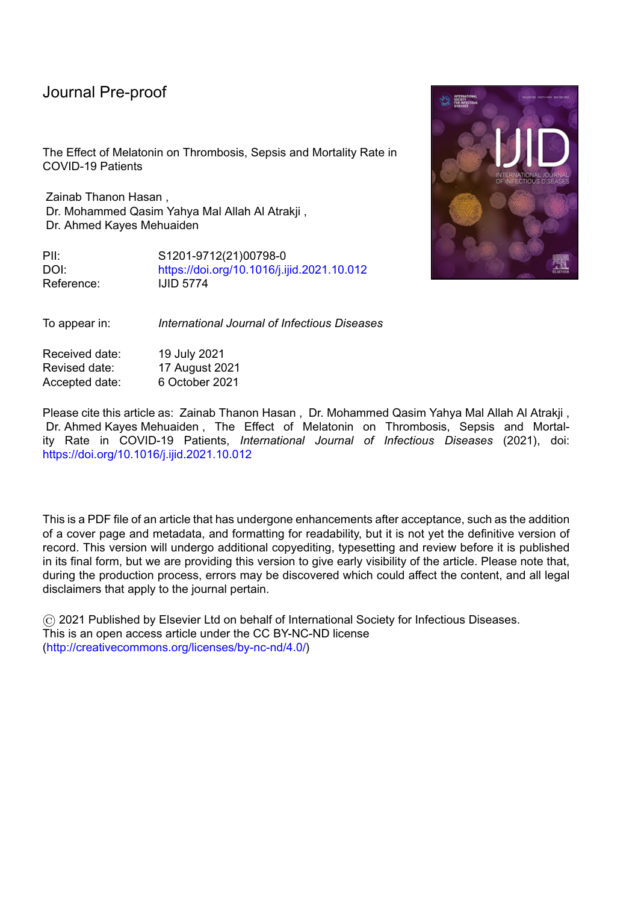|       | All patients<br>$(n = 158)$ | Melatonin<br>group $(n=82)$ | Control group<br>$(n=76)$ | df | <b>P-value</b> |
|-------|-----------------------------|-----------------------------|---------------------------|----|----------------|
| Day 5 | $1(0.6\%)$                  | $1(1.2\%)$                  | $0(0.0\%)$                |    | 1.000          |
| Day11 | $6(3.8\%)$                  | 3(3.7%)                     | $3(3.9\%)$                |    | 1.000          |
| Day17 | $27(17.1\%)$                | $9(11.0\%)$                 | 18(23.7%)                 |    | $0.037*$       |

**Table 2: Effect of melatonin on thrombosis in COVID 19 patients** 

**n=number of patients, df= degree of freedom, \*Significant using Fisher exact test**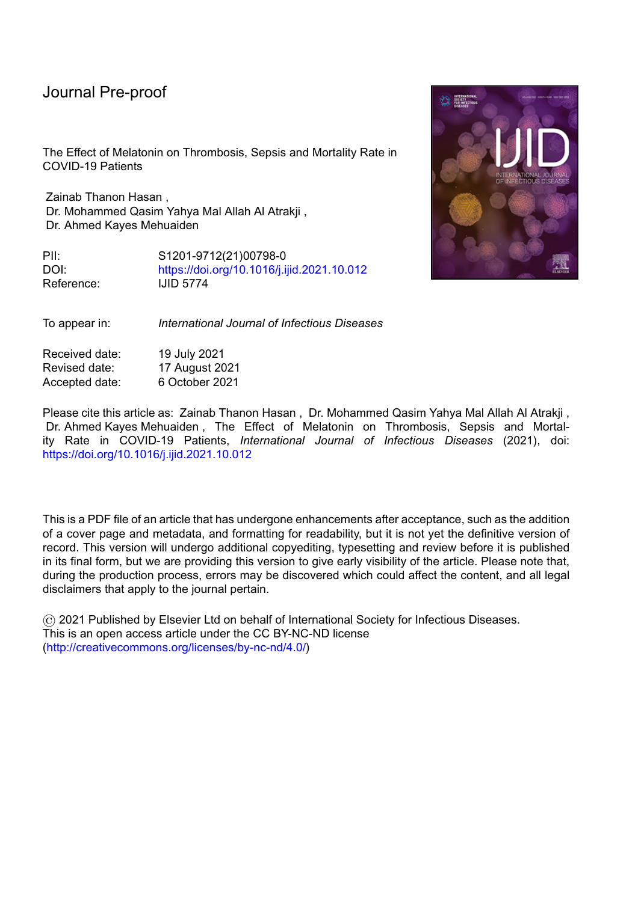# **Table 3 : Logistic regression analysis to determine melatonin use associated with thrombosis in COVID-19 patients.**

|                             | B        | S.E.  | Wald   | df           | Sig.    | Exp.(B) | 95% C.I. for |        |
|-----------------------------|----------|-------|--------|--------------|---------|---------|--------------|--------|
|                             |          |       |        |              |         |         | Exp(B)       |        |
|                             |          |       |        |              |         |         | Lower        | Upper  |
| <b>Melatonin</b>            | $-1.174$ | .504  | 5.428  | $\mathbf{1}$ | $.020*$ | .309    | .115         | .830   |
| Age                         | .099     | .039  | 6.419  | $\mathbf{1}$ | $.011*$ | 1.105   | 1.023        | 1.193  |
| <b>Gender</b>               | $-.635$  | .579  | 1.201  | $\mathbf{1}$ | .273    | .530    | .170         | 1.650  |
| <b>Hypertension</b>         | $-.577$  | .511  | 1.274  | $\mathbf{1}$ | .259    | .561    | .206         | 1.530  |
| <b>Ischemic</b>             | 1.335    | .564  | 5.599  | 1            | $.018*$ | 3.800   | 1.258        | 11.481 |
| heart disease               |          |       |        |              |         |         |              |        |
| <b>Diabetes</b><br>mellitus | .735     | .508  | 2.093  | $\mathbf{1}$ | .148    | 2.086   | .770         | 5.648  |
| <b>Asthma</b>               | .649     | .688  | .891   | $\mathbf{1}$ | .345    | 1.914   | .497         | 7.367  |
| <b>Constant</b>             | $-7.048$ | 2.217 | 10.103 | $\mathbf{1}$ | $.001*$ | .001    |              |        |

 $B =$  coefficient,  $SE =$  standard error of B, df= degree of freedom,  $Exp(B) =$  Estimated **odds ratio, C.I= Confidence interval for exp(***B***), \*Significant using binary logistic regression**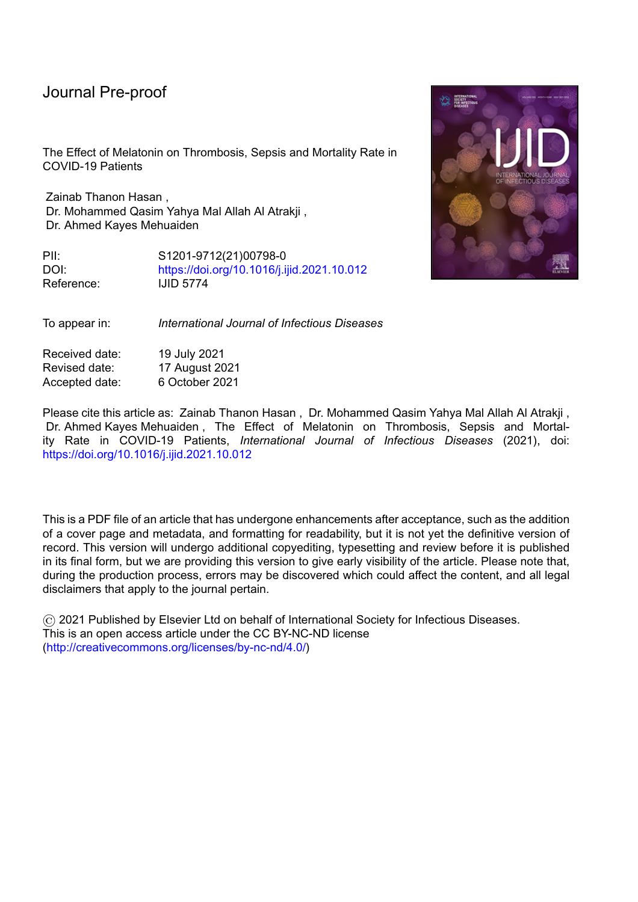|                                                                                   | All patients ( $n =$<br>158) | Melatonin group<br>$(n=82)$ | Control group<br>$(n=76)$ | Df | <b>P-value</b> |  |
|-----------------------------------------------------------------------------------|------------------------------|-----------------------------|---------------------------|----|----------------|--|
| Day 5                                                                             | $0(0\%)$                     | $0(0\%)$                    | $(0\%)$                   |    | 1.000          |  |
| Day11                                                                             | $10(6.3\%)$                  | $2(2.4\%)$                  | $8(10.5\%)$               |    | $0.050*$       |  |
| Day17                                                                             | 34(21.5%)                    | 7(8.5%)                     | 27(35.5%)                 |    | $0.000*$       |  |
| n=number of patients, df= degree of freedom, *Significant using Fisher exact test |                              |                             |                           |    |                |  |

**Table 4: Effect of melatonin on sepsis in COVID 19 patients**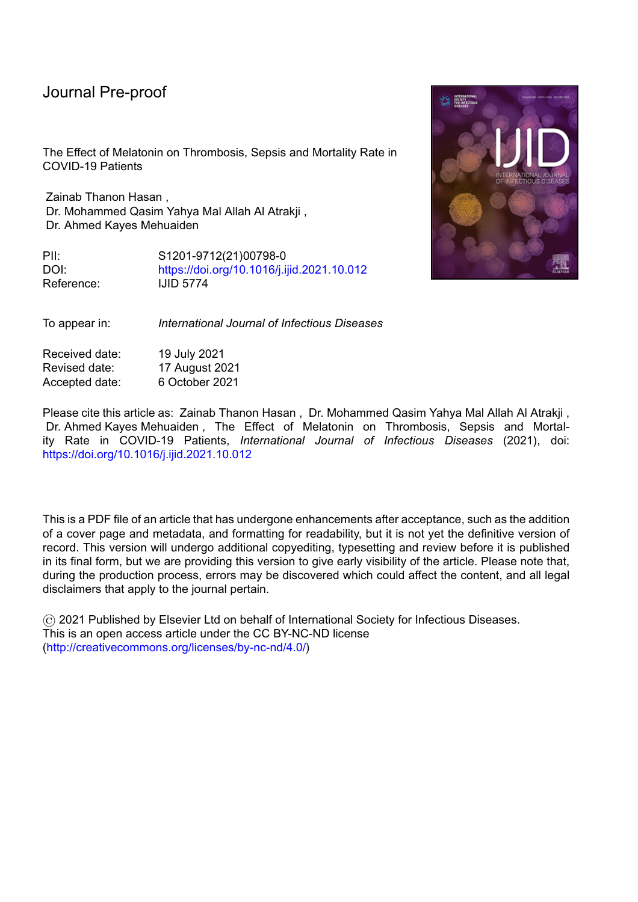# **Table 5 : Logistic regression analysis to determine melatonin use associated with sepsis in COVID-19 patients.**

|                             | B         | S.E.  | Wald   | df           | Sig.    | Exp.(B) | 95% C.I. for |              |
|-----------------------------|-----------|-------|--------|--------------|---------|---------|--------------|--------------|
|                             |           |       |        |              |         |         | Exp(B)       |              |
|                             |           |       |        |              |         |         | Lower        | <b>Upper</b> |
| <b>Melatonin</b>            | $-2.642$  | .624  | 17.949 | $\mathbf{1}$ | $.000*$ | .071    | .021         | .242         |
| Age                         | .157      | .046  | 11.766 | 1            | $.001*$ | 1.170   | 1.070        | 1.279        |
| <b>Gender</b>               | $-.563$   | .620  | .825   | $\mathbf{1}$ | .364    | .569    | .169         | 1.920        |
| <b>Hypertension</b>         | $-.520$   | .556  | .876   | $\mathbf{1}$ | .349    | .594    | .200         | 1.766        |
| <b>Ischemic</b>             | .622      | .661  | .885   | 1            | .347    | 1.862   | .510         | 6.803        |
| heart disease               |           |       |        |              |         |         |              |              |
| <b>Diabetes</b><br>mellitus | 2.243     | .597  | 14.131 | 1            | $.000*$ | 9.418   | 2.925        | 30.322       |
| <b>Asthma</b>               | 1.829     | .798  | 5.250  | $\mathbf{1}$ | $.022*$ | 6.225   | 1.303        | 29.744       |
| <b>Constant</b>             | $-12.918$ | 2.910 | 19.704 | $\mathbf{1}$ | $.000*$ | .000    |              |              |

 $B =$  coefficient,  $SE =$  standard error of B, df= degree of freedom,  $Exp(B) =$  Estimated **odds ratio, C.I= Confidence interval for exp(***B***), \*Significant using binary logistic regression**